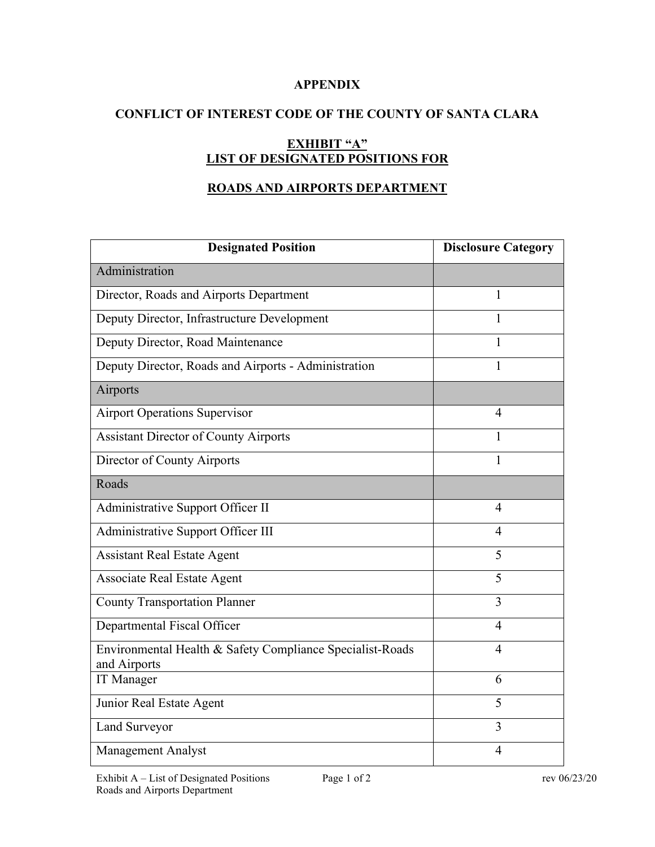## **APPENDIX**

# **CONFLICT OF INTEREST CODE OF THE COUNTY OF SANTA CLARA**

# **EXHIBIT "A" LIST OF DESIGNATED POSITIONS FOR**

# **ROADS AND AIRPORTS DEPARTMENT**

| <b>Designated Position</b>                                                | <b>Disclosure Category</b> |
|---------------------------------------------------------------------------|----------------------------|
| Administration                                                            |                            |
| Director, Roads and Airports Department                                   | 1                          |
| Deputy Director, Infrastructure Development                               | 1                          |
| Deputy Director, Road Maintenance                                         | 1                          |
| Deputy Director, Roads and Airports - Administration                      | 1                          |
| Airports                                                                  |                            |
| <b>Airport Operations Supervisor</b>                                      | $\overline{4}$             |
| <b>Assistant Director of County Airports</b>                              | 1                          |
| Director of County Airports                                               | 1                          |
| Roads                                                                     |                            |
| Administrative Support Officer II                                         | $\overline{4}$             |
| Administrative Support Officer III                                        | $\overline{4}$             |
| <b>Assistant Real Estate Agent</b>                                        | 5                          |
| <b>Associate Real Estate Agent</b>                                        | 5                          |
| <b>County Transportation Planner</b>                                      | 3                          |
| Departmental Fiscal Officer                                               | 4                          |
| Environmental Health & Safety Compliance Specialist-Roads<br>and Airports | $\overline{4}$             |
| IT Manager                                                                | 6                          |
| Junior Real Estate Agent                                                  | 5                          |
| Land Surveyor                                                             | $\overline{3}$             |
| <b>Management Analyst</b>                                                 | 4                          |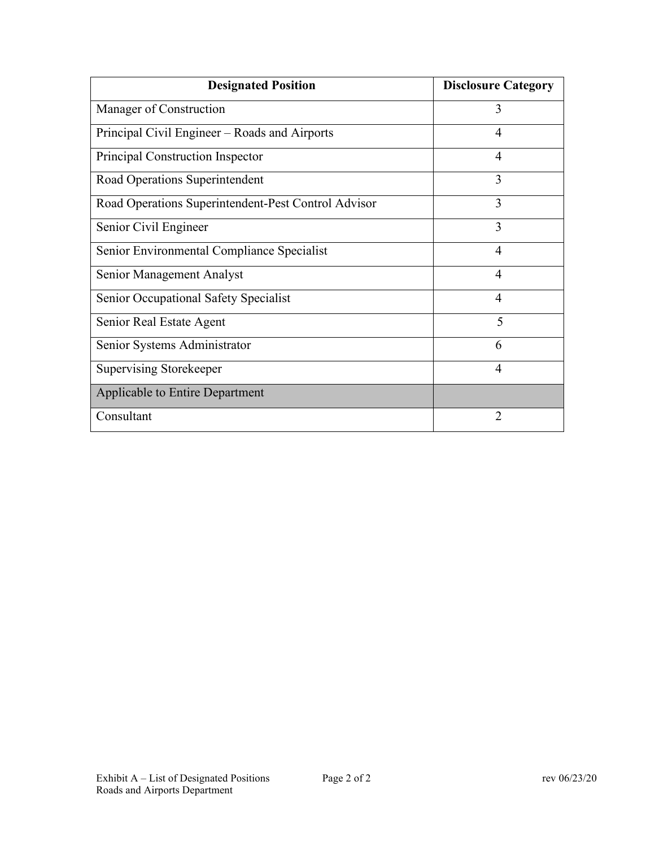| <b>Designated Position</b>                          | <b>Disclosure Category</b> |
|-----------------------------------------------------|----------------------------|
| Manager of Construction                             | 3                          |
| Principal Civil Engineer – Roads and Airports       | 4                          |
| Principal Construction Inspector                    | 4                          |
| Road Operations Superintendent                      | 3                          |
| Road Operations Superintendent-Pest Control Advisor | 3                          |
| Senior Civil Engineer                               | 3                          |
| Senior Environmental Compliance Specialist          | 4                          |
| Senior Management Analyst                           | 4                          |
| Senior Occupational Safety Specialist               | $\overline{4}$             |
| Senior Real Estate Agent                            | 5                          |
| Senior Systems Administrator                        | 6                          |
| Supervising Storekeeper                             | 4                          |
| Applicable to Entire Department                     |                            |
| Consultant                                          | 2                          |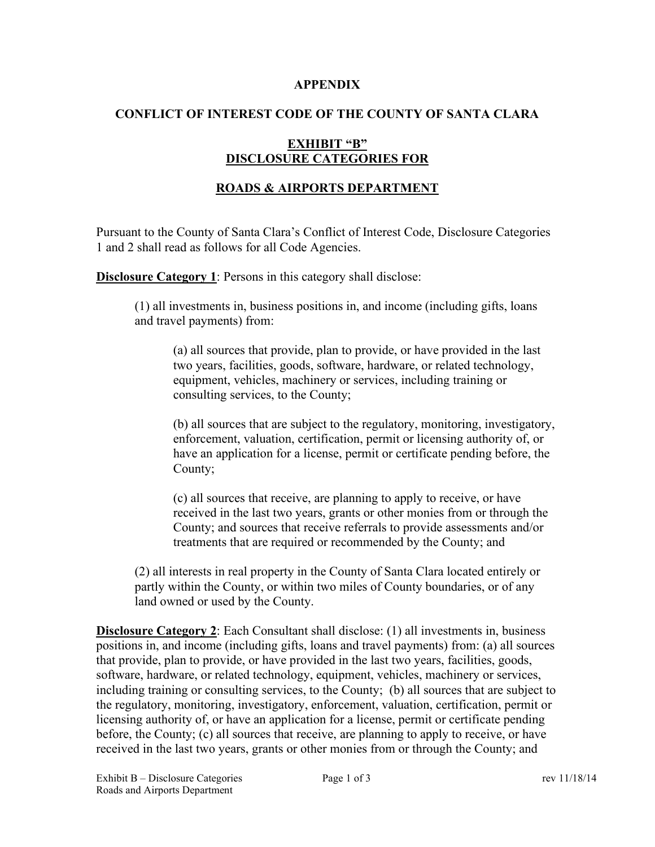#### **APPENDIX**

# **CONFLICT OF INTEREST CODE OF THE COUNTY OF SANTA CLARA**

# **EXHIBIT "B" DISCLOSURE CATEGORIES FOR**

### **ROADS & AIRPORTS DEPARTMENT**

Pursuant to the County of Santa Clara's Conflict of Interest Code, Disclosure Categories 1 and 2 shall read as follows for all Code Agencies.

**Disclosure Category 1:** Persons in this category shall disclose:

(1) all investments in, business positions in, and income (including gifts, loans and travel payments) from:

(a) all sources that provide, plan to provide, or have provided in the last two years, facilities, goods, software, hardware, or related technology, equipment, vehicles, machinery or services, including training or consulting services, to the County;

(b) all sources that are subject to the regulatory, monitoring, investigatory, enforcement, valuation, certification, permit or licensing authority of, or have an application for a license, permit or certificate pending before, the County;

(c) all sources that receive, are planning to apply to receive, or have received in the last two years, grants or other monies from or through the County; and sources that receive referrals to provide assessments and/or treatments that are required or recommended by the County; and

(2) all interests in real property in the County of Santa Clara located entirely or partly within the County, or within two miles of County boundaries, or of any land owned or used by the County.

**Disclosure Category 2**: Each Consultant shall disclose: (1) all investments in, business positions in, and income (including gifts, loans and travel payments) from: (a) all sources that provide, plan to provide, or have provided in the last two years, facilities, goods, software, hardware, or related technology, equipment, vehicles, machinery or services, including training or consulting services, to the County; (b) all sources that are subject to the regulatory, monitoring, investigatory, enforcement, valuation, certification, permit or licensing authority of, or have an application for a license, permit or certificate pending before, the County; (c) all sources that receive, are planning to apply to receive, or have received in the last two years, grants or other monies from or through the County; and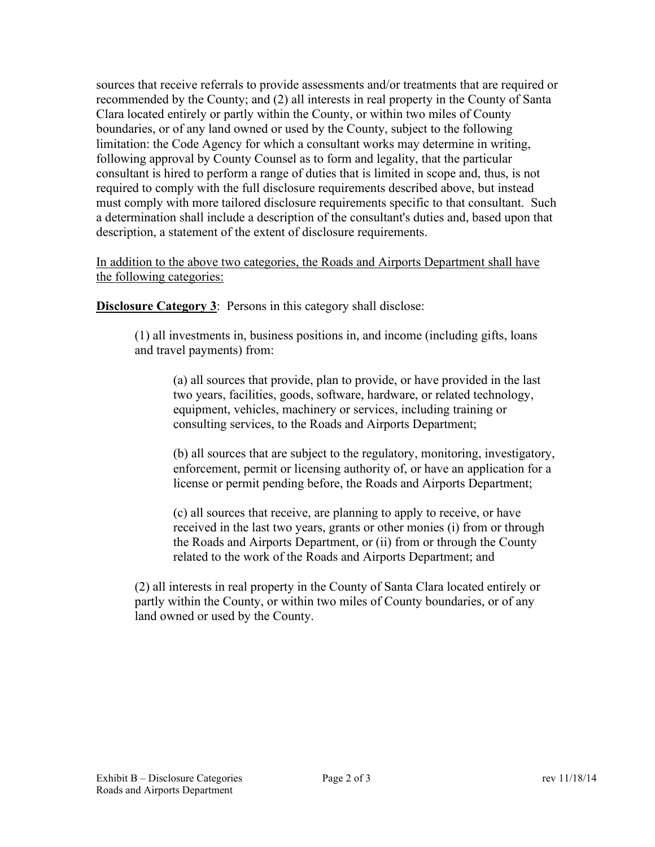sources that receive referrals to provide assessments and/or treatments that are required or recommended by the County; and (2) all interests in real property in the County of Santa Clara located entirely or partly within the County, or within two miles of County boundaries, or of any land owned or used by the County, subject to the following limitation: the Code Agency for which a consultant works may determine in writing, following approval by County Counsel as to form and legality, that the particular consultant is hired to perform a range of duties that is limited in scope and, thus, is not required to comply with the full disclosure requirements described above, but instead must comply with more tailored disclosure requirements specific to that consultant. Such a determination shall include a description of the consultant's duties and, based upon that description, a statement of the extent of disclosure requirements.

In addition to the above two categories, the Roads and Airports Department shall have the following categories:

**Disclosure Category 3:** Persons in this category shall disclose:

(1) all investments in, business positions in, and income (including gifts, loans and travel payments) from:

(a) all sources that provide, plan to provide, or have provided in the last two years, facilities, goods, software, hardware, or related technology, equipment, vehicles, machinery or services, including training or consulting services, to the Roads and Airports Department;

(b) all sources that are subject to the regulatory, monitoring, investigatory, enforcement, permit or licensing authority of, or have an application for a license or permit pending before, the Roads and Airports Department;

(c) all sources that receive, are planning to apply to receive, or have received in the last two years, grants or other monies (i) from or through the Roads and Airports Department, or (ii) from or through the County related to the work of the Roads and Airports Department; and

(2) all interests in real property in the County of Santa Clara located entirely or partly within the County, or within two miles of County boundaries, or of any land owned or used by the County.